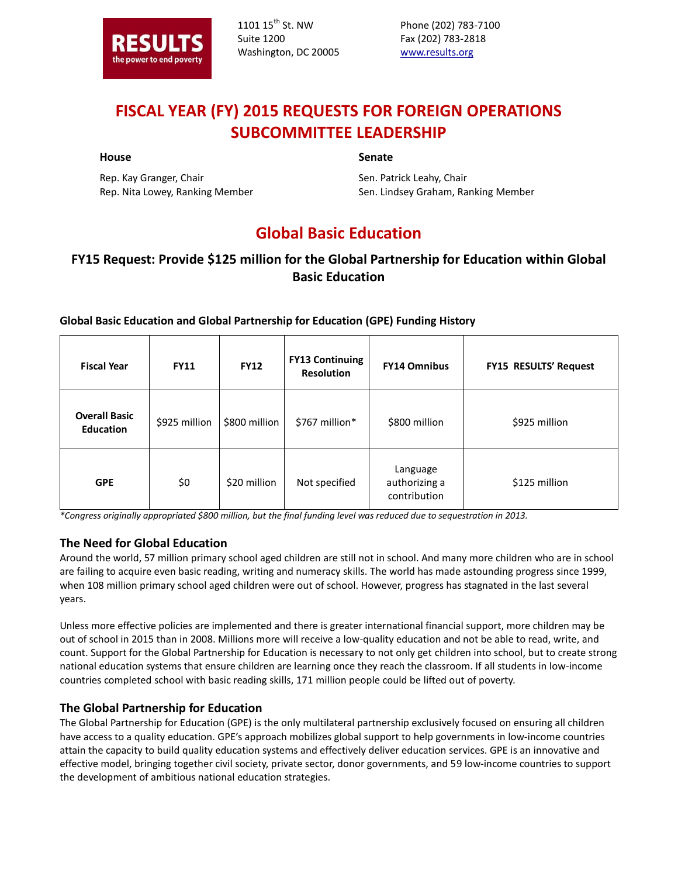

1101 15<sup>th</sup> St. NW Suite 1200 Washington, DC 20005

Phone (202) 783-7100 Fax (202) 783-2818 www.results.org

# **FISCAL YEAR (FY) 2015 REQUESTS FOR FOREIGN OPERATIONS SUBCOMMITTEE LEADERSHIP**

#### **House**

#### **Senate**

Rep. Kay Granger, Chair Rep. Nita Lowey, Ranking Member Sen. Patrick Leahy, Chair Sen. Lindsey Graham, Ranking Member

# **Global Basic Education**

## **FY15 Request: Provide \$125 million for the Global Partnership for Education within Global Basic Education**

#### **Global Basic Education and Global Partnership for Education (GPE) Funding History**

| <b>Fiscal Year</b>                       | <b>FY11</b>   | <b>FY12</b>   | <b>FY13 Continuing</b><br><b>Resolution</b> | <b>FY14 Omnibus</b>                       | <b>FY15 RESULTS' Request</b> |
|------------------------------------------|---------------|---------------|---------------------------------------------|-------------------------------------------|------------------------------|
| <b>Overall Basic</b><br><b>Education</b> | \$925 million | \$800 million | \$767 million*                              | \$800 million                             | \$925 million                |
| <b>GPE</b>                               | \$0           | \$20 million  | Not specified                               | Language<br>authorizing a<br>contribution | \$125 million                |

*\*Congress originally appropriated \$800 million, but the final funding level was reduced due to sequestration in 2013.*

#### **The Need for Global Education**

Around the world, 57 million primary school aged children are still not in school. And many more children who are in school are failing to acquire even basic reading, writing and numeracy skills. The world has made astounding progress since 1999, when 108 million primary school aged children were out of school. However, progress has stagnated in the last several years.

Unless more effective policies are implemented and there is greater international financial support, more children may be out of school in 2015 than in 2008. Millions more will receive a low-quality education and not be able to read, write, and count. Support for the Global Partnership for Education is necessary to not only get children into school, but to create strong national education systems that ensure children are learning once they reach the classroom. If all students in low-income countries completed school with basic reading skills, 171 million people could be lifted out of poverty.

#### **The Global Partnership for Education**

The Global Partnership for Education (GPE) is the only multilateral partnership exclusively focused on ensuring all children have access to a quality education. GPE's approach mobilizes global support to help governments in low-income countries attain the capacity to build quality education systems and effectively deliver education services. GPE is an innovative and effective model, bringing together civil society, private sector, donor governments, and 59 low-income countries to support the development of ambitious national education strategies.